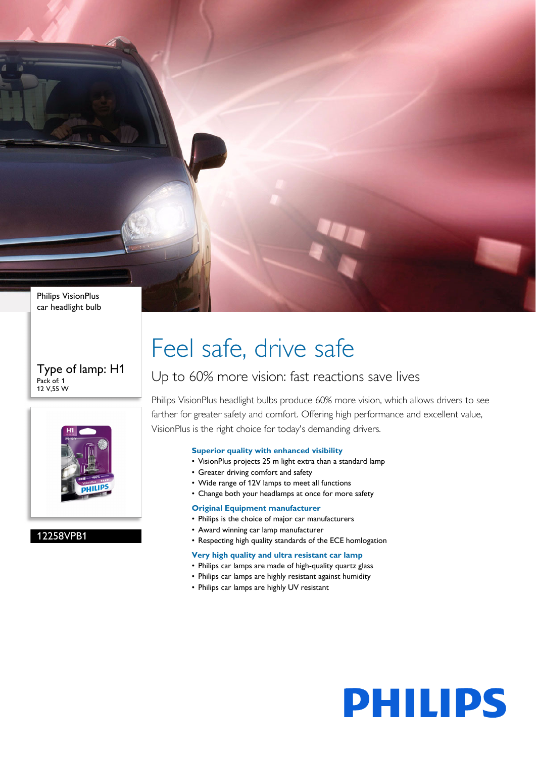Philips VisionPlus car headlight bulb

#### Type of lamp: H1 Pack of: 1 12 V,55 W



#### 12258VPB1

# Feel safe, drive safe

### Up to 60% more vision: fast reactions save lives

Philips VisionPlus headlight bulbs produce 60% more vision, which allows drivers to see farther for greater safety and comfort. Offering high performance and excellent value, VisionPlus is the right choice for today's demanding drivers.

#### **Superior quality with enhanced visibility**

- VisionPlus projects 25 m light extra than a standard lamp
- Greater driving comfort and safety
- Wide range of 12V lamps to meet all functions
- Change both your headlamps at once for more safety

#### **Original Equipment manufacturer**

- Philips is the choice of major car manufacturers
- Award winning car lamp manufacturer
- Respecting high quality standards of the ECE homlogation

#### **Very high quality and ultra resistant car lamp**

- Philips car lamps are made of high-quality quartz glass
- Philips car lamps are highly resistant against humidity
- Philips car lamps are highly UV resistant

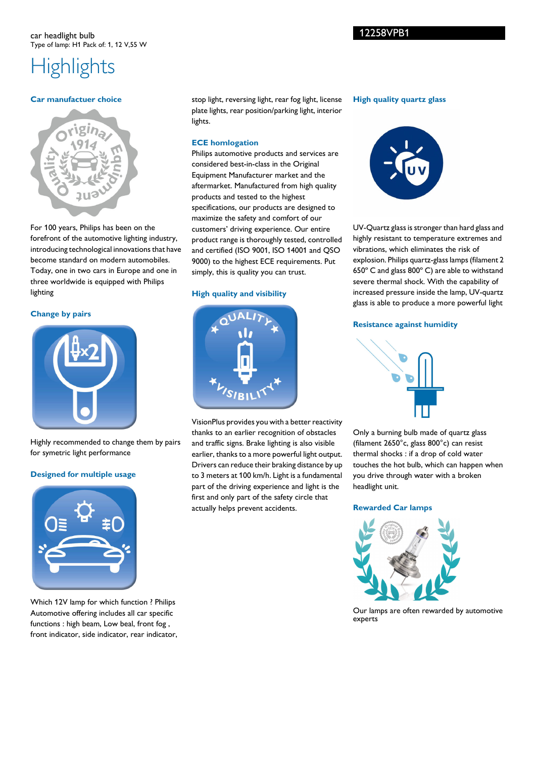## **Highlights**

#### **Car manufactuer choice**



For 100 years, Philips has been on the forefront of the automotive lighting industry, introducing technological innovations that have become standard on modern automobiles. Today, one in two cars in Europe and one in three worldwide is equipped with Philips lighting

#### **Change by pairs**



Highly recommended to change them by pairs for symetric light performance

#### **Designed for multiple usage**



Which 12V lamp for which function ? Philips Automotive offering includes all car specific functions : high beam, Low beal, front fog , front indicator, side indicator, rear indicator,

stop light, reversing light, rear fog light, license plate lights, rear position/parking light, interior lights.

#### **ECE homlogation**

Philips automotive products and services are considered best-in-class in the Original Equipment Manufacturer market and the aftermarket. Manufactured from high quality products and tested to the highest specifications, our products are designed to maximize the safety and comfort of our customers' driving experience. Our entire product range is thoroughly tested, controlled and certified (ISO 9001, ISO 14001 and QSO 9000) to the highest ECE requirements. Put simply, this is quality you can trust.

#### **High quality and visibility**



VisionPlus provides you with a better reactivity thanks to an earlier recognition of obstacles and traffic signs. Brake lighting is also visible earlier, thanks to a more powerful light output. Drivers can reduce their braking distance by up to 3 meters at 100 km/h. Light is a fundamental part of the driving experience and light is the first and only part of the safety circle that actually helps prevent accidents.

#### **High quality quartz glass**



UV-Quartz glass is stronger than hard glass and highly resistant to temperature extremes and vibrations, which eliminates the risk of explosion. Philips quartz-glass lamps (filament 2 650º C and glass 800º C) are able to withstand severe thermal shock. With the capability of increased pressure inside the lamp, UV-quartz glass is able to produce a more powerful light

#### **Resistance against humidity**



Only a burning bulb made of quartz glass (filament 2650°c, glass 800°c) can resist thermal shocks : if a drop of cold water touches the hot bulb, which can happen when you drive through water with a broken headlight unit.

#### **Rewarded Car lamps**



Our lamps are often rewarded by automotive experts